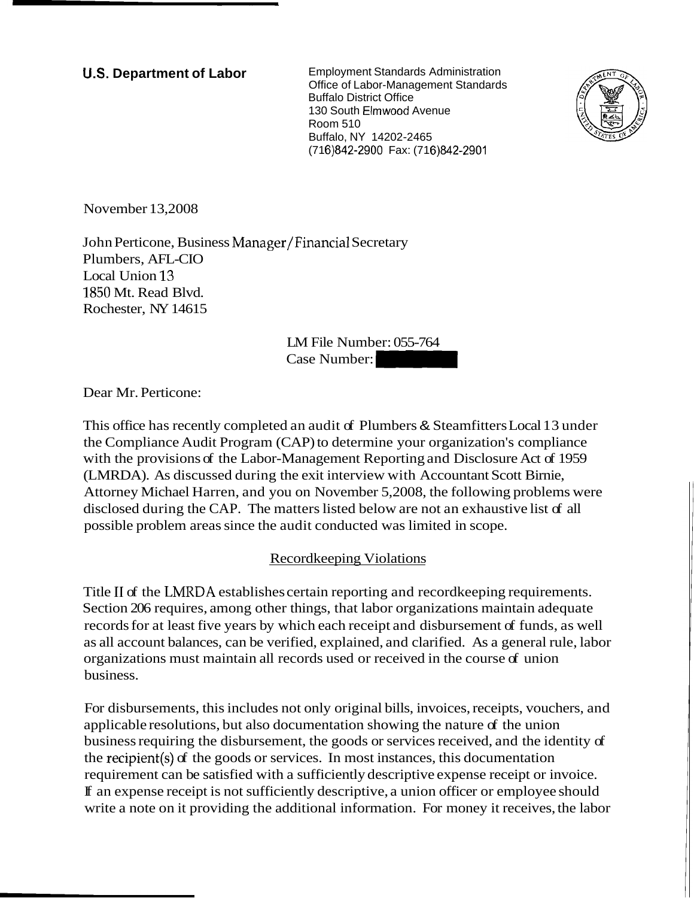**U.S. Department of Labor** Employment Standards Administration Office of Labor-Management Standards Buffalo District Office 130 South Elmwood Avenue Room 510 Buffalo, NY 14202-2465 (71 6)842-2900 Fax: (71 6)842-2901



November 13,2008

John Perticone, Business Manager/Financial Secretary Plumbers, AFL-CIO Local Union 13 1850 Mt. Read Blvd. Rochester, NY 14615 Room 510<br>
Buffalo, NY 14202-2465<br>
(716)842-2900 Fax: (716)842-2901<br>
/<br>
Financial Secretary<br>
LM File Number: 055-764<br>
Case Number:

LM File Number: 055-764

Dear Mr. Perticone:

This office has recently completed an audit of Plumbers & Steamfitters Local 13 under the Compliance Audit Program (CAP) to determine your organization's compliance with the provisions of the Labor-Management Reporting and Disclosure Act of 1959 (LMRDA). As discussed during the exit interview with Accountant Scott Birnie, Attorney Michael Harren, and you on November 5,2008, the following problems were disclosed during the CAP. The matters listed below are not an exhaustive list of all possible problem areas since the audit conducted was limited in scope.

### Recordkeeping Violations

Title I1 of the LNIRDA establishes certain reporting and recordkeeping requirements. Section 206 requires, among other things, that labor organizations maintain adequate records for at least five years by which each receipt and disbursement of funds, as well as all account balances, can be verified, explained, and clarified. As a general rule, labor organizations must maintain all records used or received in the course of union business.

For disbursements, this includes not only original bills, invoices, receipts, vouchers, and applicable resolutions, but also documentation showing the nature of the union business requiring the disbursement, the goods or services received, and the identity of the recipient(s) of the goods or services. In most instances, this documentation requirement can be satisfied with a sufficiently descriptive expense receipt or invoice. If an expense receipt is not sufficiently descriptive, a union officer or employee should write a note on it providing the additional information. For money it receives, the labor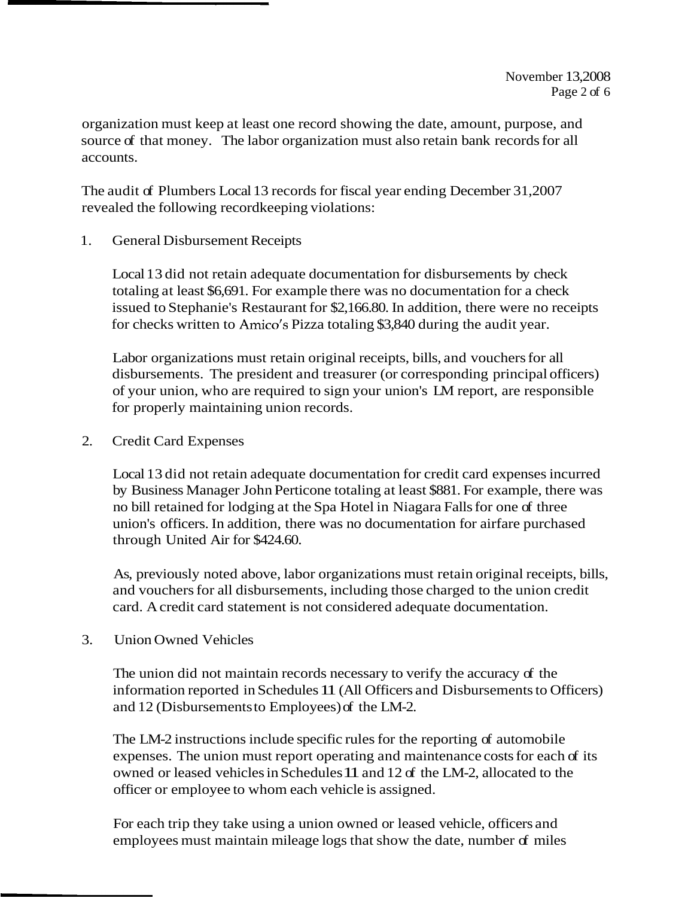organization must keep at least one record showing the date, amount, purpose, and source of that money. The labor organization must also retain bank records for all accounts.

The audit of Plumbers Local 13 records for fiscal year ending December 31,2007 revealed the following recordkeeping violations:

1. General Disbursement Receipts

Local 13 did not retain adequate documentation for disbursements by check totaling at least \$6,691. For example there was no documentation for a check issued to Stephanie's Restaurant for \$2,166.80. In addition, there were no receipts for checks written to Amico's Pizza totaling \$3,840 during the audit year.

Labor organizations must retain original receipts, bills, and vouchers for all disbursements. The president and treasurer (or corresponding principal officers) of your union, who are required to sign your union's LM report, are responsible for properly maintaining union records.

2. Credit Card Expenses

Local 13 did not retain adequate documentation for credit card expenses incurred by Business Manager John Perticone totaling at least \$881. For example, there was no bill retained for lodging at the Spa Hotel in Niagara Falls for one of three union's officers. In addition, there was no documentation for airfare purchased through United Air for \$424.60.

As, previously noted above, labor organizations must retain original receipts, bills, and vouchers for all disbursements, including those charged to the union credit card. A credit card statement is not considered adequate documentation.

3. Union Owned Vehicles

The union did not maintain records necessary to verify the accuracy of the information reported in Schedules 11 (All Officers and Disbursements to Officers) and 12 (Disbursements to Employees) of the LM-2.

The LM-2 instructions include specific rules for the reporting of automobile expenses. The union must report operating and maintenance costs for each of its owned or leased vehicles in Schedules 11 and 12 of the LM-2, allocated to the officer or employee to whom each vehicle is assigned.

For each trip they take using a union owned or leased vehicle, officers and employees must maintain mileage logs that show the date, number of miles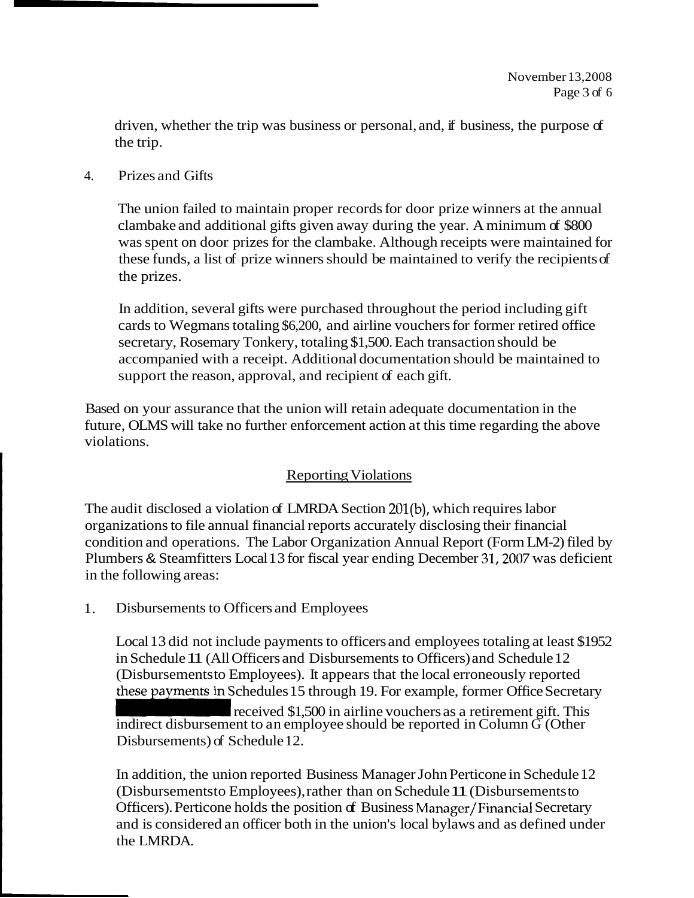driven, whether the trip was business or personal, and, if business, the purpose of the trip.

4. Prizes and Gifts

The union failed to maintain proper records for door prize winners at the annual clambake and additional gifts given away during the year. A minimum of \$800 was spent on door prizes for the clambake. Although receipts were maintained for these funds, a list of prize winners should be maintained to verify the recipients of the prizes.

In addition, several gifts were purchased throughout the period including gift cards to Wegmans totaling \$6,200, and airline vouchers for former retired office secretary, Rosemary Tonkery, totaling \$1,500. Each transaction should be accompanied with a receipt. Additional documentation should be maintained to support the reason, approval, and recipient of each gift.

Based on your assurance that the union will retain adequate documentation in the future, OLMS will take no further enforcement action at this time regarding the above violations.

# **Reporting Violations**

The audit disclosed a violation of LMRDA Section 201(b), which requires labor organizations to file annual financial reports accurately disclosing their financial condition and operations. The Labor Organization Annual Report (Form LM-2) filed by Plumbers & Steamfitters Local 13 for fiscal year ending December 31,2007 was deficient in the following areas:

1. Disbursements to Officers and Employees

Local 13 did not include payments to officers and employees totaling at least \$1952 in Schedule 11 (All Officers and Disbursements to Officers) and Schedule 12 (Disbursements to Employees). It appears that the local erroneously reported these payments in Schedules 15 through 19. For example, former Office Secretary Local 13 did not include payments to officers and employees totaling at least \$195<br>in Schedule 11 (All Officers and Disbursements to Officers) and Schedule 12<br>(Disbursements in Schedules 15 through 19. For example, former

Disbursements) of Schedule 12.

In addition, the union reported Business Manager John Perticone in Schedule 12 (Disbursements to Employees), rather than on Schedule 11 (Disbursements to Officers). Perticone holds the position of Business Manager/Financial Secretary and is considered an officer both in the union's local bylaws and as defined under the LMRDA.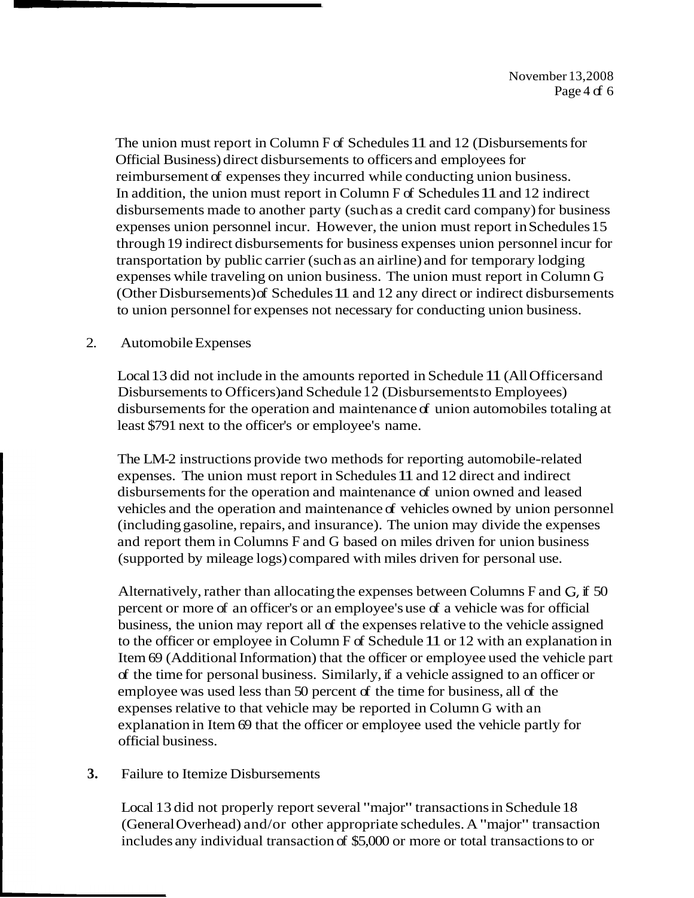The union must report in Column F of Schedules 11 and 12 (Disbursements for Official Business) direct disbursements to officers and employees for reimbursement of expenses they incurred while conducting union business. In addition, the union must report in Column F of Schedules 11 and 12 indirect disbursements made to another party (such as a credit card company) for business expenses union personnel incur. However, the union must report in Schedules 15 through 19 indirect disbursements for business expenses union personnel incur for transportation by public carrier (such as an airline) and for temporary lodging expenses while traveling on union business. The union must report in Column G (Other Disbursements) of Schedules 11 and 12 any direct or indirect disbursements to union personnel for expenses not necessary for conducting union business.

#### 2. Automobile Expenses

Local 13 did not include in the amounts reported in Schedule 11 (All Officers and Disbursements to Officers) and Schedule 12 (Disbursements to Employees) disbursements for the operation and maintenance of union automobiles totaling at least \$791 next to the officer's or employee's name.

The LM-2 instructions provide two methods for reporting automobile-related expenses. The union must report in Schedules 11 and 12 direct and indirect disbursements for the operation and maintenance of union owned and leased vehicles and the operation and maintenance of vehicles owned by union personnel (including gasoline, repairs, and insurance). The union may divide the expenses and report them in Columns F and G based on miles driven for union business (supported by mileage logs) compared with miles driven for personal use.

Alternatively, rather than allocating the expenses between Columns F and G, if 50 percent or more of an officer's or an employee's use of a vehicle was for official business, the union may report all of the expenses relative to the vehicle assigned to the officer or employee in Column F of Schedule 11 or 12 with an explanation in Item 69 (Additional Information) that the officer or employee used the vehicle part of the time for personal business. Similarly, if a vehicle assigned to an officer or employee was used less than 50 percent of the time for business, all of the expenses relative to that vehicle may be reported in Column G with an explanation in Item 69 that the officer or employee used the vehicle partly for official business.

### **3.** Failure to Itemize Disbursements

Local 13 did not properly report several "major" transactions in Schedule 18 (General Overhead) and/or other appropriate schedules. A "major" transaction includes any individual transaction of \$5,000 or more or total transactions to or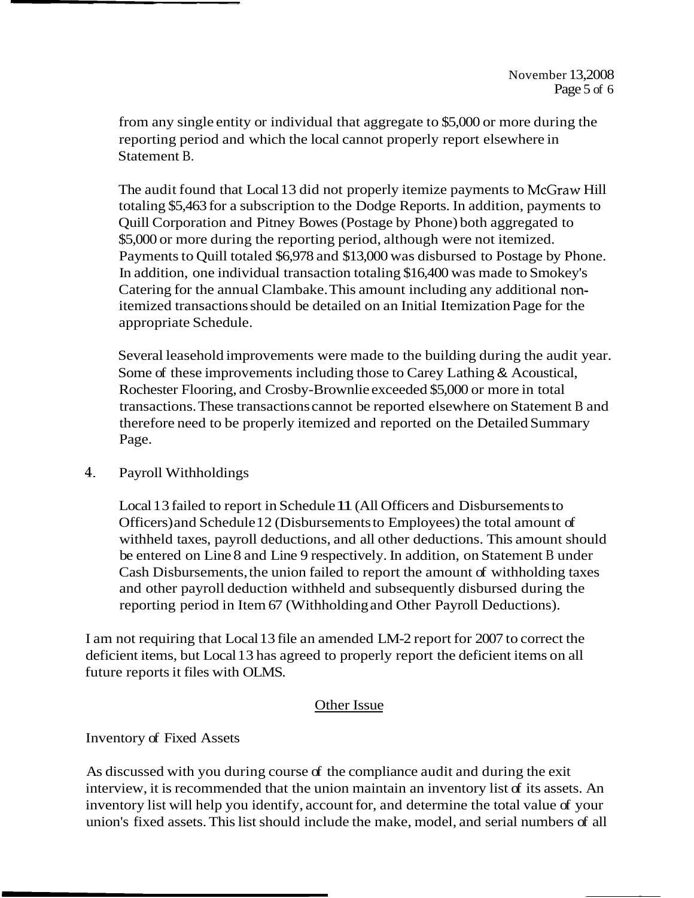from any single entity or individual that aggregate to \$5,000 or more during the reporting period and which the local cannot properly report elsewhere in Statement B.

The audit found that Local 13 did not properly itemize payments to McGraw Hill totaling \$5,463 for a subscription to the Dodge Reports. In addition, payments to Quill Corporation and Pitney Bowes (Postage by Phone) both aggregated to \$5,000 or more during the reporting period, although were not itemized. Payments to Quill totaled \$6,978 and \$13,000 was disbursed to Postage by Phone. In addition, one individual transaction totaling \$16,400 was made to Smokey's Catering for the annual Clambake. This amount including any additional nonitemized transactions should be detailed on an Initial Itemization Page for the appropriate Schedule.

Several leasehold improvements were made to the building during the audit year. Some of these improvements including those to Carey Lathing & Acoustical, Rochester Flooring, and Crosby-Brownlie exceeded \$5,000 or more in total transactions. These transactions cannot be reported elsewhere on Statement B and therefore need to be properly itemized and reported on the Detailed Summary Page.

### 4. Payroll Withholdings

Local 13 failed to report in Schedule 11 (All Officers and Disbursements to Officers) and Schedule 12 (Disbursements to Employees) the total amount of withheld taxes, payroll deductions, and all other deductions. This amount should be entered on Line 8 and Line 9 respectively. In addition, on Statement B under Cash Disbursements, the union failed to report the amount of withholding taxes and other payroll deduction withheld and subsequently disbursed during the reporting period in Item 67 (Withholding and Other Payroll Deductions).

I am not requiring that Local 13 file an amended LM-2 report for 2007 to correct the deficient items, but Local 13 has agreed to properly report the deficient items on all future reports it files with OLMS.

### Other Issue

## Inventory of Fixed Assets

As discussed with you during course of the compliance audit and during the exit interview, it is recommended that the union maintain an inventory list of its assets. An inventory list will help you identify, account for, and determine the total value of your union's fixed assets. This list should include the make, model, and serial numbers of all